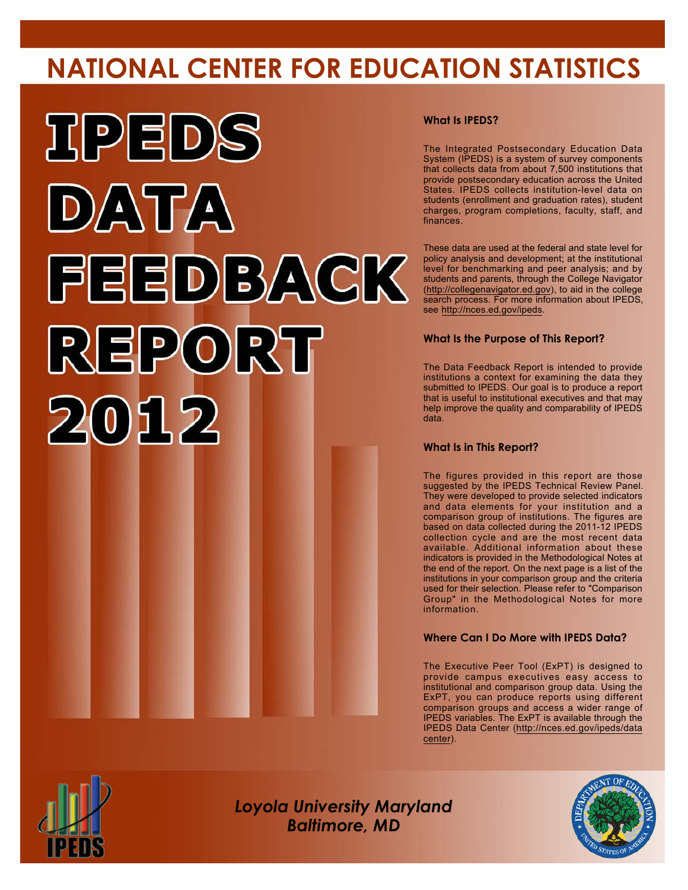# **NATIONAL CENTER FOR EDUCATION STATISTICS**



#### **What Is IPEDS?**

The Integrated Postsecondary Education Data System (IPEDS) is a system of survey components that collects data from about 7,500 institutions that provide postsecondary education across the United States. IPEDS collects institution-level data on students (enrollment and graduation rates), student charges, program completions, faculty, staff, and finances.

These data are used at the federal and state level for policy analysis and development; at the institutional level for benchmarking and peer analysis; and by students and parents, through the College Navigator (<http://collegenavigator.ed.gov>), to aid in the college search process. For more information about IPEDS, see [http://nces.ed.gov/ipeds.](http://nces.ed.gov/ipeds)

#### **What Is the Purpose of This Report?**

The Data Feedback Report is intended to provide institutions a context for examining the data they submitted to IPEDS. Our goal is to produce a report that is useful to institutional executives and that may help improve the quality and comparability of IPEDS data.

#### **What Is in This Report?**

The figures provided in this report are those suggested by the IPEDS Technical Review Panel. They were developed to provide selected indicators and data elements for your institution and a comparison group of institutions. The figures are based on data collected during the 2011-12 IPEDS collection cycle and are the most recent data available. Additional information about these indicators is provided in the Methodological Notes at the end of the report. On the next page is a list of the institutions in your comparison group and the criteria used for their selection. Please refer to "Comparison Group" in the Methodological Notes for more information.

#### **Where Can I Do More with IPEDS Data?**

The Executive Peer Tool (ExPT) is designed to provide campus executives easy access to institutional and comparison group data. Using the ExPT, you can produce reports using different comparison groups and access a wider range of IPEDS variables. The ExPT is available through the IPEDS Data Center ([http://nces.ed.gov/ipeds/data](http://nces.ed.gov/ipeds/datacenter) [center](http://nces.ed.gov/ipeds/datacenter)).



Image description. Cover Image End of image description.

*Loyola University Maryland Baltimore, MD*

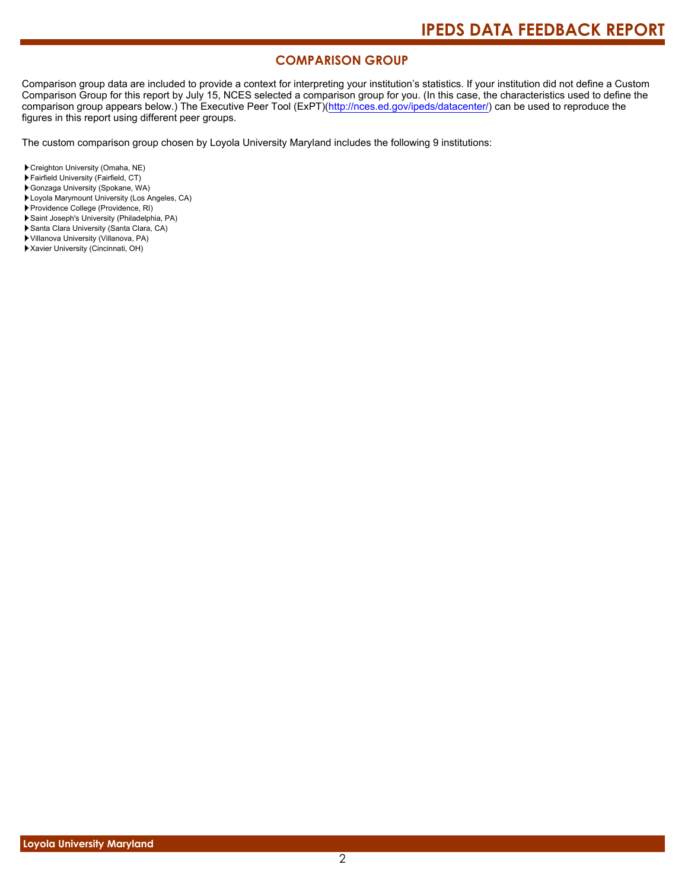#### **COMPARISON GROUP**

Comparison group data are included to provide a context for interpreting your institution's statistics. If your institution did not define a Custom Comparison Group for this report by July 15, NCES selected a comparison group for you. (In this case, the characteristics used to define the comparison group appears below.) The Executive Peer Tool (ExPT)[\(http://nces.ed.gov/ipeds/datacenter/\)](http://nces.ed.gov/ipeds/datacenter/) can be used to reproduce the figures in this report using different peer groups.

The custom comparison group chosen by Loyola University Maryland includes the following 9 institutions:

- Creighton University (Omaha, NE)
- Fairfield University (Fairfield, CT)
- Gonzaga University (Spokane, WA)
- Loyola Marymount University (Los Angeles, CA)
- Providence College (Providence, RI)
- Saint Joseph's University (Philadelphia, PA)
- Santa Clara University (Santa Clara, CA)
- Villanova University (Villanova, PA)
- Xavier University (Cincinnati, OH)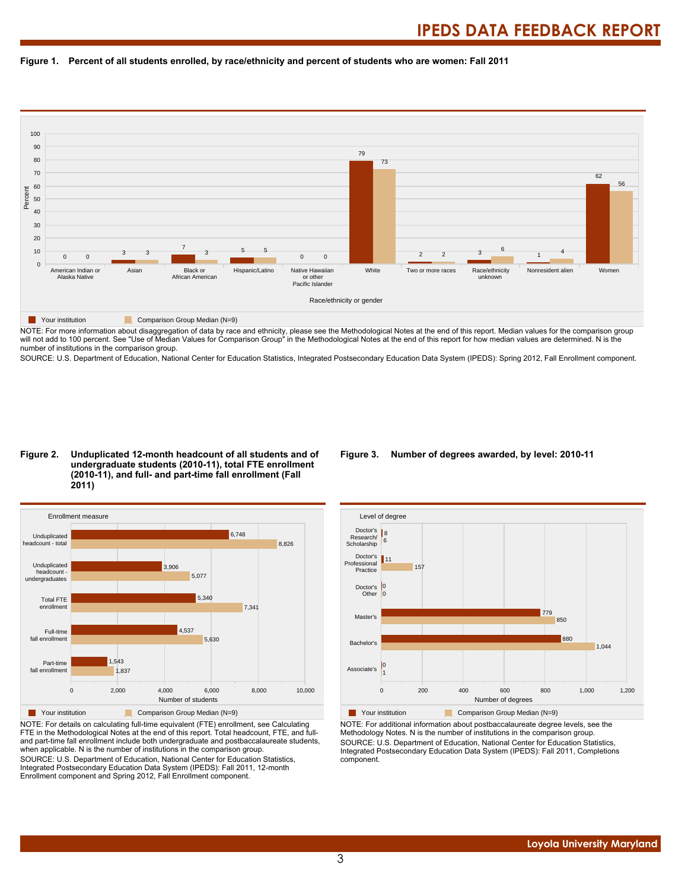



NOTE: For more information about disaggregation of data by race and ethnicity, please see the Methodological Notes at the end of this report. Median values for the comparison group will not add to 100 percent. See "Use of Median Values for Comparison Group" in the Methodological Notes at the end of this report for how median values are determined. N is the number of institutions in the comparison group.

SOURCE: U.S. Department of Education, National Center for Education Statistics, Integrated Postsecondary Education Data System (IPEDS): Spring 2012, Fall Enrollment component.

#### **Figure 2. Unduplicated 12-month headcount of all students and of undergraduate students (2010-11), total FTE enrollment (2010-11), and full- and part-time fall enrollment (Fall 2011)**



NOTE: For details on calculating full-time equivalent (FTE) enrollment, see Calculating FTE in the Methodological Notes at the end of this report. Total headcount, FTE, and fulland part-time fall enrollment include both undergraduate and postbaccalaureate students, when applicable. N is the number of institutions in the comparison group. SOURCE: U.S. Department of Education, National Center for Education Statistics, Integrated Postsecondary Education Data System (IPEDS): Fall 2011, 12-month Enrollment component and Spring 2012, Fall Enrollment component.

#### **Figure 3. Number of degrees awarded, by level: 2010-11**



NOTE: For additional information about postbaccalaureate degree levels, see the Methodology Notes. N is the number of institutions in the comparison group. SOURCE: U.S. Department of Education, National Center for Education Statistics, Integrated Postsecondary Education Data System (IPEDS): Fall 2011, Completions component.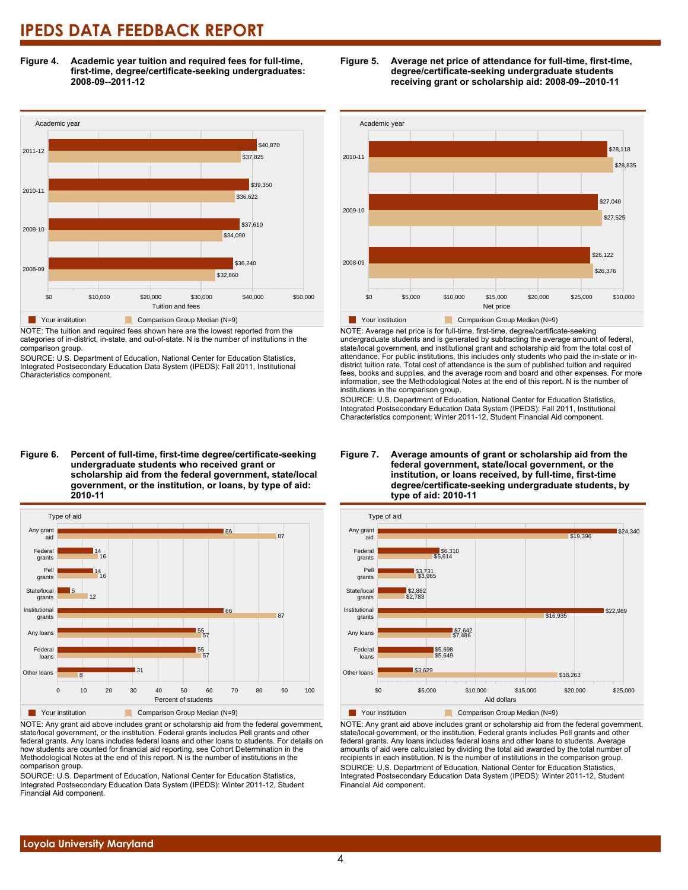**Figure 4. Academic year tuition and required fees for full-time, first-time, degree/certificate-seeking undergraduates: 2008-09--2011-12**



NOTE: The tuition and required fees shown here are the lowest reported from the categories of in-district, in-state, and out-of-state. N is the number of institutions in the comparison group.

SOURCE: U.S. Department of Education, National Center for Education Statistics, Integrated Postsecondary Education Data System (IPEDS): Fall 2011, Institutional Characteristics component.





NOTE: Any grant aid above includes grant or scholarship aid from the federal government, state/local government, or the institution. Federal grants includes Pell grants and other federal grants. Any loans includes federal loans and other loans to students. For details on how students are counted for financial aid reporting, see Cohort Determination in the Methodological Notes at the end of this report. N is the number of institutions in the comparison group.

SOURCE: U.S. Department of Education, National Center for Education Statistics, Integrated Postsecondary Education Data System (IPEDS): Winter 2011-12, Student Financial Aid component.





NOTE: Average net price is for full-time, first-time, degree/certificate-seeking undergraduate students and is generated by subtracting the average amount of federal, state/local government, and institutional grant and scholarship aid from the total cost of attendance. For public institutions, this includes only students who paid the in-state or indistrict tuition rate. Total cost of attendance is the sum of published tuition and required fees, books and supplies, and the average room and board and other expenses. For more information, see the Methodological Notes at the end of this report. N is the number of institutions in the comparison group.

SOURCE: U.S. Department of Education, National Center for Education Statistics, Integrated Postsecondary Education Data System (IPEDS): Fall 2011, Institutional Characteristics component; Winter 2011-12, Student Financial Aid component.



**degree/certificate-seeking undergraduate students, by**

NOTE: Any grant aid above includes grant or scholarship aid from the federal government, state/local government, or the institution. Federal grants includes Pell grants and other federal grants. Any loans includes federal loans and other loans to students. Average amounts of aid were calculated by dividing the total aid awarded by the total number of recipients in each institution. N is the number of institutions in the comparison group. SOURCE: U.S. Department of Education, National Center for Education Statistics, Integrated Postsecondary Education Data System (IPEDS): Winter 2011-12, Student Financial Aid component.

### **Figure 7. Average amounts of grant or scholarship aid from the federal government, state/local government, or the institution, or loans received, by full-time, first-time**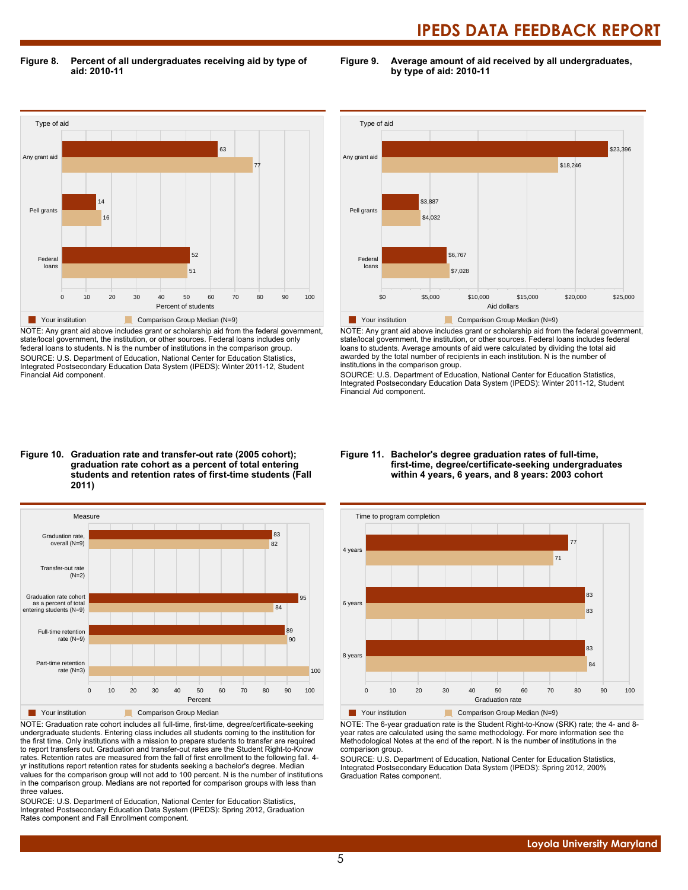**Figure 8. Percent of all undergraduates receiving aid by type of aid: 2010-11**

**Figure 9. Average amount of aid received by all undergraduates, by type of aid: 2010-11**



NOTE: Any grant aid above includes grant or scholarship aid from the federal government, state/local government, the institution, or other sources. Federal loans includes only federal loans to students. N is the number of institutions in the comparison group. SOURCE: U.S. Department of Education, National Center for Education Statistics, Integrated Postsecondary Education Data System (IPEDS): Winter 2011-12, Student Financial Aid component.



NOTE: Any grant aid above includes grant or scholarship aid from the federal government, state/local government, the institution, or other sources. Federal loans includes federal loans to students. Average amounts of aid were calculated by dividing the total aid awarded by the total number of recipients in each institution. N is the number of institutions in the comparison group.

SOURCE: U.S. Department of Education, National Center for Education Statistics, Integrated Postsecondary Education Data System (IPEDS): Winter 2011-12, Student Financial Aid component.

#### **Figure 10. Graduation rate and transfer-out rate (2005 cohort); graduation rate cohort as a percent of total entering students and retention rates of first-time students (Fall 2011)**



NOTE: Graduation rate cohort includes all full-time, first-time, degree/certificate-seeking undergraduate students. Entering class includes all students coming to the institution for the first time. Only institutions with a mission to prepare students to transfer are required to report transfers out. Graduation and transfer-out rates are the Student Right-to-Know rates. Retention rates are measured from the fall of first enrollment to the following fall. 4 yr institutions report retention rates for students seeking a bachelor's degree. Median values for the comparison group will not add to 100 percent. N is the number of institutions in the comparison group. Medians are not reported for comparison groups with less than three values.

SOURCE: U.S. Department of Education, National Center for Education Statistics, Integrated Postsecondary Education Data System (IPEDS): Spring 2012, Graduation Rates component and Fall Enrollment component.

#### **Figure 11. Bachelor's degree graduation rates of full-time, first-time, degree/certificate-seeking undergraduates within 4 years, 6 years, and 8 years: 2003 cohort**



NOTE: The 6-year graduation rate is the Student Right-to-Know (SRK) rate; the 4- and 8 year rates are calculated using the same methodology. For more information see the Methodological Notes at the end of the report. N is the number of institutions in the comparison group.

SOURCE: U.S. Department of Education, National Center for Education Statistics, Integrated Postsecondary Education Data System (IPEDS): Spring 2012, 200% Graduation Rates component.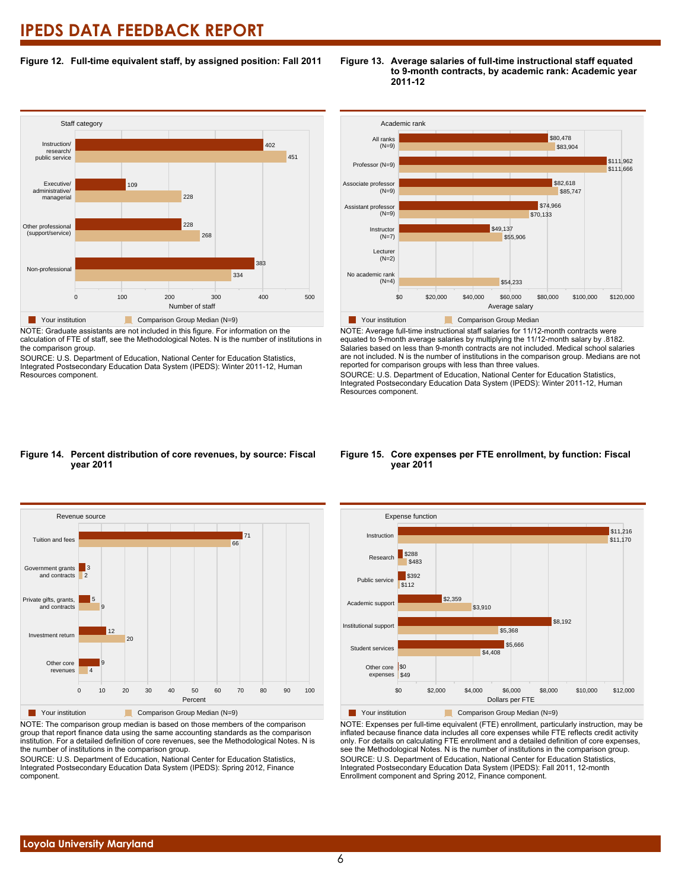#### **Figure 12. Full-time equivalent staff, by assigned position: Fall 2011**



NOTE: Graduate assistants are not included in this figure. For information on the calculation of FTE of staff, see the Methodological Notes. N is the number of institutions in the comparison group.

SOURCE: U.S. Department of Education, National Center for Education Statistics, Integrated Postsecondary Education Data System (IPEDS): Winter 2011-12, Human Resources component.





NOTE: Average full-time instructional staff salaries for 11/12-month contracts were equated to 9-month average salaries by multiplying the 11/12-month salary by .8182. Salaries based on less than 9-month contracts are not included. Medical school salaries are not included. N is the number of institutions in the comparison group. Medians are not reported for comparison groups with less than three values.

SOURCE: U.S. Department of Education, National Center for Education Statistics, Integrated Postsecondary Education Data System (IPEDS): Winter 2011-12, Human Resources component.

#### **Figure 14. Percent distribution of core revenues, by source: Fiscal year 2011**



NOTE: The comparison group median is based on those members of the comparison group that report finance data using the same accounting standards as the comparison institution. For a detailed definition of core revenues, see the Methodological Notes. N is the number of institutions in the comparison group.

SOURCE: U.S. Department of Education, National Center for Education Statistics, Integrated Postsecondary Education Data System (IPEDS): Spring 2012, Finance component.

#### **Figure 15. Core expenses per FTE enrollment, by function: Fiscal year 2011**



NOTE: Expenses per full-time equivalent (FTE) enrollment, particularly instruction, may be inflated because finance data includes all core expenses while FTE reflects credit activity only. For details on calculating FTE enrollment and a detailed definition of core expenses, see the Methodological Notes. N is the number of institutions in the comparison group. SOURCE: U.S. Department of Education, National Center for Education Statistics, Integrated Postsecondary Education Data System (IPEDS): Fall 2011, 12-month Enrollment component and Spring 2012, Finance component.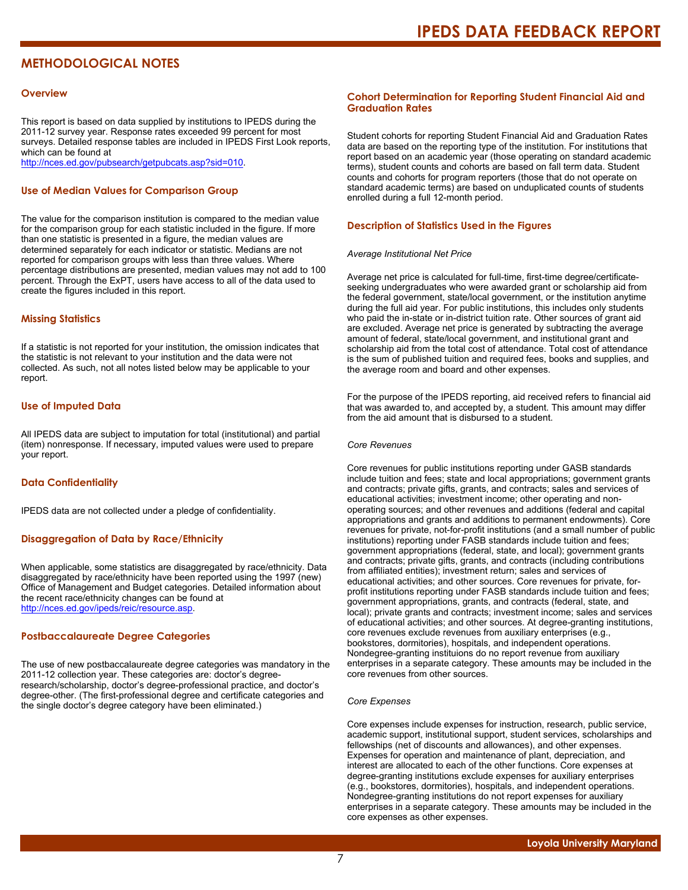### **METHODOLOGICAL NOTES**

#### **Overview**

This report is based on data supplied by institutions to IPEDS during the 2011-12 survey year. Response rates exceeded 99 percent for most surveys. Detailed response tables are included in IPEDS First Look reports, which can be found at [http://nces.ed.gov/pubsearch/getpubcats.asp?sid=010.](http://nces.ed.gov/pubsearch/getpubcats.asp?sid=010)

#### **Use of Median Values for Comparison Group**

The value for the comparison institution is compared to the median value for the comparison group for each statistic included in the figure. If more than one statistic is presented in a figure, the median values are determined separately for each indicator or statistic. Medians are not reported for comparison groups with less than three values. Where percentage distributions are presented, median values may not add to 100 percent. Through the ExPT, users have access to all of the data used to create the figures included in this report.

#### **Missing Statistics**

If a statistic is not reported for your institution, the omission indicates that the statistic is not relevant to your institution and the data were not collected. As such, not all notes listed below may be applicable to your report.

#### **Use of Imputed Data**

All IPEDS data are subject to imputation for total (institutional) and partial (item) nonresponse. If necessary, imputed values were used to prepare your report.

#### **Data Confidentiality**

IPEDS data are not collected under a pledge of confidentiality.

#### **Disaggregation of Data by Race/Ethnicity**

When applicable, some statistics are disaggregated by race/ethnicity. Data disaggregated by race/ethnicity have been reported using the 1997 (new) Office of Management and Budget categories. Detailed information about the recent race/ethnicity changes can be found at <http://nces.ed.gov/ipeds/reic/resource.asp>.

#### **Postbaccalaureate Degree Categories**

The use of new postbaccalaureate degree categories was mandatory in the 2011-12 collection year. These categories are: doctor's degreeresearch/scholarship, doctor's degree-professional practice, and doctor's degree-other. (The first-professional degree and certificate categories and the single doctor's degree category have been eliminated.)

#### **Cohort Determination for Reporting Student Financial Aid and Graduation Rates**

Student cohorts for reporting Student Financial Aid and Graduation Rates data are based on the reporting type of the institution. For institutions that report based on an academic year (those operating on standard academic terms), student counts and cohorts are based on fall term data. Student counts and cohorts for program reporters (those that do not operate on standard academic terms) are based on unduplicated counts of students enrolled during a full 12-month period.

#### **Description of Statistics Used in the Figures**

#### *Average Institutional Net Price*

Average net price is calculated for full-time, first-time degree/certificateseeking undergraduates who were awarded grant or scholarship aid from the federal government, state/local government, or the institution anytime during the full aid year. For public institutions, this includes only students who paid the in-state or in-district tuition rate. Other sources of grant aid are excluded. Average net price is generated by subtracting the average amount of federal, state/local government, and institutional grant and scholarship aid from the total cost of attendance. Total cost of attendance is the sum of published tuition and required fees, books and supplies, and the average room and board and other expenses.

For the purpose of the IPEDS reporting, aid received refers to financial aid that was awarded to, and accepted by, a student. This amount may differ from the aid amount that is disbursed to a student.

#### *Core Revenues*

Core revenues for public institutions reporting under GASB standards include tuition and fees; state and local appropriations; government grants and contracts; private gifts, grants, and contracts; sales and services of educational activities; investment income; other operating and nonoperating sources; and other revenues and additions (federal and capital appropriations and grants and additions to permanent endowments). Core revenues for private, not-for-profit institutions (and a small number of public institutions) reporting under FASB standards include tuition and fees; government appropriations (federal, state, and local); government grants and contracts; private gifts, grants, and contracts (including contributions from affiliated entities); investment return; sales and services of educational activities; and other sources. Core revenues for private, forprofit institutions reporting under FASB standards include tuition and fees; government appropriations, grants, and contracts (federal, state, and local); private grants and contracts; investment income; sales and services of educational activities; and other sources. At degree-granting institutions, core revenues exclude revenues from auxiliary enterprises (e.g., bookstores, dormitories), hospitals, and independent operations. Nondegree-granting instituions do no report revenue from auxiliary enterprises in a separate category. These amounts may be included in the core revenues from other sources.

#### *Core Expenses*

Core expenses include expenses for instruction, research, public service, academic support, institutional support, student services, scholarships and fellowships (net of discounts and allowances), and other expenses. Expenses for operation and maintenance of plant, depreciation, and interest are allocated to each of the other functions. Core expenses at degree-granting institutions exclude expenses for auxiliary enterprises (e.g., bookstores, dormitories), hospitals, and independent operations. Nondegree-granting institutions do not report expenses for auxiliary enterprises in a separate category. These amounts may be included in the core expenses as other expenses.